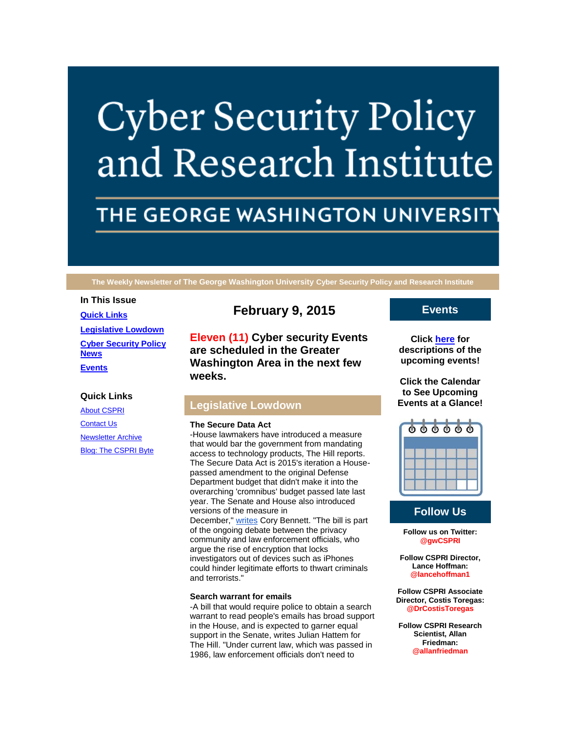# **Cyber Security Policy** and Research Institute

# THE GEORGE WASHINGTON UNIVERSIT

**The Weekly Newsletter of The George Washington University Cyber Security Policy and Research Institute**

## **In This Issue**

**[Quick Links](https://mail.google.com/mail/u/0/#14b6fa2e85217635_LETTER.BLOCK5) [Legislative Lowdown](https://mail.google.com/mail/u/0/#14b6fa2e85217635_LETTER.BLOCK17) [Cyber Security Policy](https://mail.google.com/mail/u/0/#14b6fa2e85217635_LETTER.BLOCK35)  [News](https://mail.google.com/mail/u/0/#14b6fa2e85217635_LETTER.BLOCK35) [Events](https://mail.google.com/mail/u/0/#14b6fa2e85217635_LETTER.BLOCK21)**

# **Quick Links**

[About CSPRI](http://r20.rs6.net/tn.jsp?f=0012ELVHgKGTgzLOVhA6NaIWZeKm5wpqDYXTHWkFNY9C7PE8K-W9v5LS7RPwhUIRWrF2I_3ZtsRnfUPp-BusIee3ax36J6BjZJXCGxis4-5pWhUg9BqcLWdD7QrUb95jEh7cEM3IR3OXZZUbGSAEJyj5PevoZUzV2LGEOJZey3bN_STS26VoLDCNYoU6W4kTHM5&c=B9GRO8qxNEWsoi2mXXCORDnxTW0xsLt4b3BMjsIjwCjfq2kHDtQhbw==&ch=oRkkCtKl8bfbUzDZKFTXU9nKRohARhMWOaSk3BwxWfGSyiAwBip_5Q==) [Contact Us](http://r20.rs6.net/tn.jsp?f=0012ELVHgKGTgzLOVhA6NaIWZeKm5wpqDYXTHWkFNY9C7PE8K-W9v5LS7RPwhUIRWrFzFcB6UDQ8s0Ngienn8HR1yh6yGQhTDdbfGxGpWdBCVBwQDFwZNdYhY4kt6Eo57dmC4wRf0dxZQTX39H6wHnHWBz6ASHSPLJjvZ-rRlk0lYS4mMaTGWKzN8FwWvRUPdghwgJEZIkhTdY=&c=B9GRO8qxNEWsoi2mXXCORDnxTW0xsLt4b3BMjsIjwCjfq2kHDtQhbw==&ch=oRkkCtKl8bfbUzDZKFTXU9nKRohARhMWOaSk3BwxWfGSyiAwBip_5Q==) [Newsletter Archive](http://r20.rs6.net/tn.jsp?f=0012ELVHgKGTgzLOVhA6NaIWZeKm5wpqDYXTHWkFNY9C7PE8K-W9v5LS7RPwhUIRWrFbW5-Zx4vdCr7_YvUF9bbIwN1daKuW4Cx2uFKETW2JzapiSGgQdIC65_Iwq3YFk-kuZPjECmRWHstrPA3-_WhPQ8FUaJ8Ixv9cu6Sv5lp3vVeafRJxqOo6vJsv-MWrB0QTU2pnnhcU7A=&c=B9GRO8qxNEWsoi2mXXCORDnxTW0xsLt4b3BMjsIjwCjfq2kHDtQhbw==&ch=oRkkCtKl8bfbUzDZKFTXU9nKRohARhMWOaSk3BwxWfGSyiAwBip_5Q==) [Blog: The CSPRI Byte](http://r20.rs6.net/tn.jsp?f=0012ELVHgKGTgzLOVhA6NaIWZeKm5wpqDYXTHWkFNY9C7PE8K-W9v5LS7RPwhUIRWrFmTYmUbcwsuy_iPxXy9i59m95DOWKeDupA4l-Tnc87_ah3ev5Gd54JvXMHSLXUfiTbY06gkMDql1gAQ_fb6cj9lKx9SqjQpvtulcw0LRvAOgv1Cd1ycx5PWzN49T7fuLa&c=B9GRO8qxNEWsoi2mXXCORDnxTW0xsLt4b3BMjsIjwCjfq2kHDtQhbw==&ch=oRkkCtKl8bfbUzDZKFTXU9nKRohARhMWOaSk3BwxWfGSyiAwBip_5Q==)

# **February 9, 2015**

**Eleven (11) Cyber security Events are scheduled in the Greater Washington Area in the next few weeks.**

# **Legislative Lowdown**

### **The Secure Data Act**

-House lawmakers have introduced a measure that would bar the government from mandating access to technology products, The Hill reports. The Secure Data Act is 2015's iteration a Housepassed amendment to the original Defense Department budget that didn't make it into the overarching 'cromnibus' budget passed late last year. The Senate and House also introduced versions of the measure in December," [writes](http://r20.rs6.net/tn.jsp?f=0012ELVHgKGTgzLOVhA6NaIWZeKm5wpqDYXTHWkFNY9C7PE8K-W9v5LS_brGqKUoVFbBOflatKkrUIxBk_G2TUVMfn_rpXRswOjj9dFij1NFl-8Pap3CqadB_B0rkJ76PvUGdqE5_88TuPDYzpYR5D9R48H_o7xTFgSUcb3GCjhiXS0zUp2mhSsna-UgRNtWHjzk3QAW7riDfQ5p50qGKPBkf0Mc-zD5BKwvgodilv4dFEcZjHg05N-Jj7ZIKPj_udkPTIZu6RCe2M=&c=B9GRO8qxNEWsoi2mXXCORDnxTW0xsLt4b3BMjsIjwCjfq2kHDtQhbw==&ch=oRkkCtKl8bfbUzDZKFTXU9nKRohARhMWOaSk3BwxWfGSyiAwBip_5Q==) Cory Bennett. "The bill is part of the ongoing debate between the privacy community and law enforcement officials, who argue the rise of encryption that locks investigators out of devices such as iPhones could hinder legitimate efforts to thwart criminals and terrorists."

# **Search warrant for emails**

-A bill that would require police to obtain a search warrant to read people's emails has broad support in the House, and is expected to garner equal support in the Senate, writes Julian Hattem for The Hill. "Under current law, which was passed in 1986, law enforcement officials don't need to

# **Events**

**Click [here](http://r20.rs6.net/tn.jsp?f=0012ELVHgKGTgzLOVhA6NaIWZeKm5wpqDYXTHWkFNY9C7PE8K-W9v5LS7RPwhUIRWrFFgiF-m72B88GG39IQYaHbNA2CLvePA-W9PA8JnwhiS970qm3FIrCpSt9BDrU0Gp7HIqqSwjoUB933R3NQoLB8Tdl_EfpJzvqBUlJF5pPxH8to1_PEd2PqYoA_EKUhqZBIZIW6Y4gYMsfTSOYYiNDXw==&c=B9GRO8qxNEWsoi2mXXCORDnxTW0xsLt4b3BMjsIjwCjfq2kHDtQhbw==&ch=oRkkCtKl8bfbUzDZKFTXU9nKRohARhMWOaSk3BwxWfGSyiAwBip_5Q==) for descriptions of the upcoming events!**

**Click the Calendar to See Upcoming Events at a Glance!**



# **Follow Us**

**Follow us on Twitter: @gwCSPRI**

**Follow CSPRI Director, Lance Hoffman: @lancehoffman1**

**Follow CSPRI Associate Director, Costis Toregas: @DrCostisToregas**

**Follow CSPRI Research Scientist, Allan Friedman: @allanfriedman**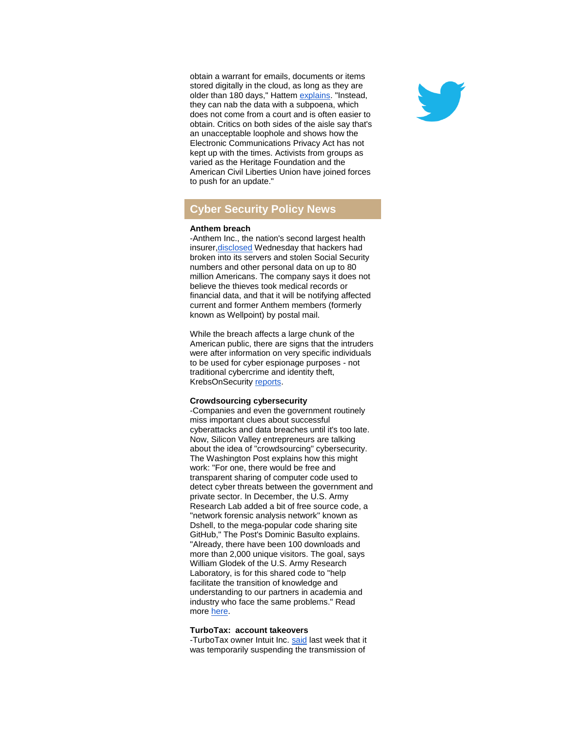obtain a warrant for emails, documents or items stored digitally in the cloud, as long as they are older than 180 days," Hattem [explains.](http://r20.rs6.net/tn.jsp?f=0012ELVHgKGTgzLOVhA6NaIWZeKm5wpqDYXTHWkFNY9C7PE8K-W9v5LS_brGqKUoVFbhbbWIi_Qwj9217hMdJPRrhb1mCraUF1qt543SK0hAhjF4ZBnn0P8BZZee4Xp4-lJuzSZlA5CCF1vdT2QfUEulSJAGYz_dHS9qM8b3sWi9gUD8nT4l3lgg2EOmgDUNxlKrScLPZQn1PkC30ePbWzbOYM60mE-FUh8Ui59ijn-oBdNsApcTPHO-HQILcmN6FVcBHH3y5JWnkyDPeCumw3I5g==&c=B9GRO8qxNEWsoi2mXXCORDnxTW0xsLt4b3BMjsIjwCjfq2kHDtQhbw==&ch=oRkkCtKl8bfbUzDZKFTXU9nKRohARhMWOaSk3BwxWfGSyiAwBip_5Q==) "Instead, they can nab the data with a subpoena, which does not come from a court and is often easier to obtain. Critics on both sides of the aisle say that's an unacceptable loophole and shows how the Electronic Communications Privacy Act has not kept up with the times. Activists from groups as varied as the Heritage Foundation and the American Civil Liberties Union have joined forces to push for an update."

# **Cyber Security Policy News**

### **Anthem breach**

-Anthem Inc., the nation's second largest health insure[r,disclosed](http://r20.rs6.net/tn.jsp?f=0012ELVHgKGTgzLOVhA6NaIWZeKm5wpqDYXTHWkFNY9C7PE8K-W9v5LS_brGqKUoVFbaDbVE-17NpAf36LUh-y1ewBTGXKeJhcTzk65y55IrrvQu579cHm4uwT203TV1iJCPkPrcFkJpf4KuyjTUL3hc4tPtmNh6M_ixz2qaZFcGOsFbU2WAIkMZ2DWqjsCkW6Z-rjaX7-JlTLWDa4_4Yi-3wi8z99xRe-6267NtFfKXrYOFK7pprk2sQ7HlRbA1j8xeQ4NS-IlB36J3vF4JVSTXA==&c=B9GRO8qxNEWsoi2mXXCORDnxTW0xsLt4b3BMjsIjwCjfq2kHDtQhbw==&ch=oRkkCtKl8bfbUzDZKFTXU9nKRohARhMWOaSk3BwxWfGSyiAwBip_5Q==) Wednesday that hackers had broken into its servers and stolen Social Security numbers and other personal data on up to 80 million Americans. The company says it does not believe the thieves took medical records or financial data, and that it will be notifying affected current and former Anthem members (formerly known as Wellpoint) by postal mail.

While the breach affects a large chunk of the American public, there are signs that the intruders were after information on very specific individuals to be used for cyber espionage purposes - not traditional cybercrime and identity theft, KrebsOnSecurity [reports.](http://r20.rs6.net/tn.jsp?f=0012ELVHgKGTgzLOVhA6NaIWZeKm5wpqDYXTHWkFNY9C7PE8K-W9v5LS_brGqKUoVFbZqgRy3u_agjwA6_AznOflOPNY5uKqer3MkPb3rAnnwEw7UB1Ql669G22vvRUbpgJTzphS6E5MsrO11EmWH4gyHjFj8XGY-ZmhsdC7mdPAl6q7YZojYrsgcNC53FYluMtCeEGGfFLmRJ8EQw4KHvkec5NU--UYPBPgNN7g0bN1w4=&c=B9GRO8qxNEWsoi2mXXCORDnxTW0xsLt4b3BMjsIjwCjfq2kHDtQhbw==&ch=oRkkCtKl8bfbUzDZKFTXU9nKRohARhMWOaSk3BwxWfGSyiAwBip_5Q==)

# **Crowdsourcing cybersecurity**

-Companies and even the government routinely miss important clues about successful cyberattacks and data breaches until it's too late. Now, Silicon Valley entrepreneurs are talking about the idea of "crowdsourcing" cybersecurity. The Washington Post explains how this might work: "For one, there would be free and transparent sharing of computer code used to detect cyber threats between the government and private sector. In December, the U.S. Army Research Lab added a bit of free source code, a "network forensic analysis network" known as Dshell, to the mega-popular code sharing site GitHub," The Post's Dominic Basulto explains. "Already, there have been 100 downloads and more than 2,000 unique visitors. The goal, says William Glodek of the U.S. Army Research Laboratory, is for this shared code to "help facilitate the transition of knowledge and understanding to our partners in academia and industry who face the same problems." Read more [here.](http://r20.rs6.net/tn.jsp?f=0012ELVHgKGTgzLOVhA6NaIWZeKm5wpqDYXTHWkFNY9C7PE8K-W9v5LS_brGqKUoVFbRSxnLG5XiNBtBWbTHJPmI02wjeHQc1_AoBMpZrer28R5E_kyiN6s8i_g3SB9_ML3wkSLxmEXvwG-mwoEAHKvsj1l_cB8J1u8CPb4qNrcGajhHCld-ReM0a89Mk3b41ZCLnj93NNwJ_Mv5XBY3Mza480qIEYIfWIUaHgXBmJZQHadjmuuRJc0cSMasZFGWHZ8nN_sxAHDhilOSFTq8gckDm7RrOI5EK7BqpVfySJGHBvbApUZJcRe6B8JXSt4jj0LNdcJYdui3FS23rpJlxS6f8g8n5O5Kq-vvje7-PcmJk2X9oWh3AIOgBUn6Kksfux9YL0VgBWUk8vWafcf1ou5bzCRpNXOreaJv-TlrVlzdxcF_FZPg_sk22Td0c5-3HJPDkHB5Hk3NOMLJk8Pk0IXVGdz8MLIz5D_&c=B9GRO8qxNEWsoi2mXXCORDnxTW0xsLt4b3BMjsIjwCjfq2kHDtQhbw==&ch=oRkkCtKl8bfbUzDZKFTXU9nKRohARhMWOaSk3BwxWfGSyiAwBip_5Q==)

### **TurboTax: account takeovers**

-TurboTax owner Intuit Inc. [said](http://r20.rs6.net/tn.jsp?f=0012ELVHgKGTgzLOVhA6NaIWZeKm5wpqDYXTHWkFNY9C7PE8K-W9v5LS_brGqKUoVFbjtb3QuIEBuxy_z9bm-uuUUtjga4jDoVTvmX32KvR4n0Jwrpyy6WmKBkIlBuaI_R11BWOZ8Qk6gT56VxTQfhHXUNwAntFS-fucD9w4wJ9HWqpEdF9C_tyQnWf6qyeJfabrXRqhDR7hG3QyFXnJjti-chbUQWinV-QjbPdgsG-Zuam0RCyyBYDyKGjMPQPhjz74OBfAU7_e9mNthPE-KcbjQ==&c=B9GRO8qxNEWsoi2mXXCORDnxTW0xsLt4b3BMjsIjwCjfq2kHDtQhbw==&ch=oRkkCtKl8bfbUzDZKFTXU9nKRohARhMWOaSk3BwxWfGSyiAwBip_5Q==) last week that it was temporarily suspending the transmission of